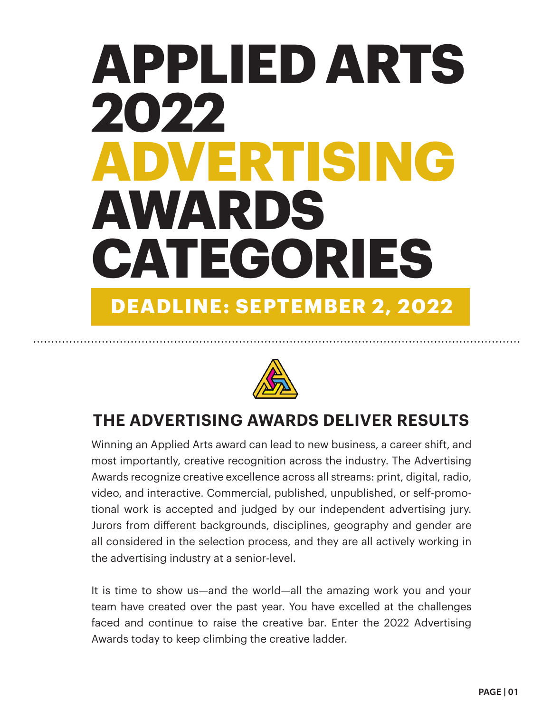# **APPLIED ARTS 2022 ADVERTISING AWARDS CATEGORIES DEADLINE: SEPTEMBER 2, 2022**



# **THE ADVERTISING AWARDS DELIVER RESULTS**

Winning an Applied Arts award can lead to new business, a career shift, and most importantly, creative recognition across the industry. The Advertising Awards recognize creative excellence across all streams: print, digital, radio, video, and interactive. Commercial, published, unpublished, or self-promotional work is accepted and judged by our independent advertising jury. Jurors from different backgrounds, disciplines, geography and gender are all considered in the selection process, and they are all actively working in the advertising industry at a senior-level.

It is time to show us—and the world—all the amazing work you and your team have created over the past year. You have excelled at the challenges faced and continue to raise the creative bar. Enter the 2022 Advertising Awards today to keep climbing the creative ladder.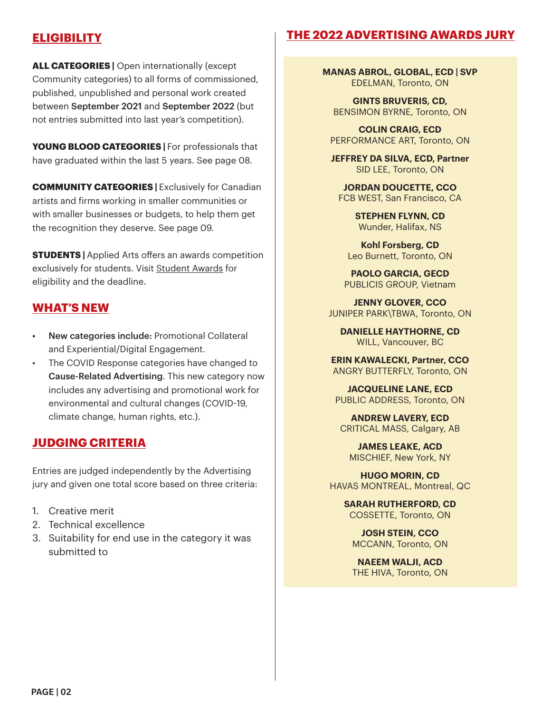## **ELIGIBILITY**

## **THE 2022 ADVERTISING AWARDS JURY**

**ALL CATEGORIES |** Open internationally (except Community categories) to all forms of commissioned, published, unpublished and personal work created between September 2021 and September 2022 (but not entries submitted into last year's competition).

**YOUNG BLOOD CATEGORIES |** For professionals that have graduated within the last 5 years. See page 08.

**COMMUNITY CATEGORIES | Exclusively for Canadian** artists and firms working in smaller communities or with smaller businesses or budgets, to help them get the recognition they deserve. See page 09.

**STUDENTS** | Applied Arts offers an awards competition exclusively for students. Visit Student Awards for eligibility and the deadline.

## **WHAT'S NEW**

- New categories include: Promotional Collateral and Experiential/Digital Engagement.
- The COVID Response categories have changed to Cause-Related Advertising. This new category now includes any advertising and promotional work for environmental and cultural changes (COVID-19, climate change, human rights, etc.).

## **JUDGING CRITERIA**

Entries are judged independently by the Advertising jury and given one total score based on three criteria:

- 1. Creative merit
- 2. Technical excellence
- 3. Suitability for end use in the category it was submitted to

**MANAS ABROL, GLOBAL, ECD | SVP** EDELMAN, Toronto, ON

**GINTS BRUVERIS, CD,**  BENSIMON BYRNE, Toronto, ON

**COLIN CRAIG, ECD** PERFORMANCE ART, Toronto, ON

**JEFFREY DA SILVA, ECD, Partner** SID LEE, Toronto, ON

**JORDAN DOUCETTE, CCO** FCB WEST, San Francisco, CA

> **STEPHEN FLYNN, CD** Wunder, Halifax, NS

**Kohl Forsberg, CD** Leo Burnett, Toronto, ON

**PAOLO GARCIA, GECD** PUBLICIS GROUP, Vietnam

**JENNY GLOVER, CCO** JUNIPER PARK\TBWA, Toronto, ON

**DANIELLE HAYTHORNE, CD** WILL, Vancouver, BC

**ERIN KAWALECKI, Partner, CCO** ANGRY BUTTERFLY, Toronto, ON

**JACQUELINE LANE, ECD** PUBLIC ADDRESS, Toronto, ON

**ANDREW LAVERY, ECD** CRITICAL MASS, Calgary, AB

**JAMES LEAKE, ACD** MISCHIEF, New York, NY

**HUGO MORIN, CD** HAVAS MONTREAL, Montreal, QC

> **SARAH RUTHERFORD, CD** COSSETTE, Toronto, ON

**JOSH STEIN, CCO** MCCANN, Toronto, ON

**NAEEM WALJI, ACD** THE HIVA, Toronto, ON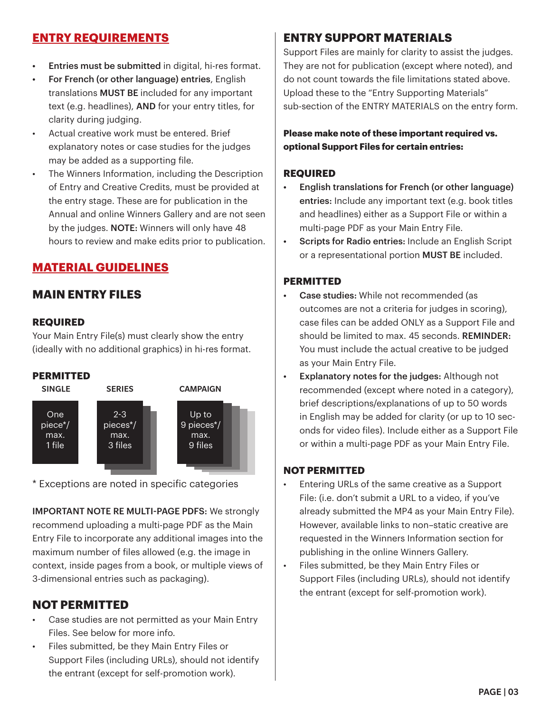## **ENTRY REQUIREMENTS**

- Entries must be submitted in digital, hi-res format.
- For French (or other language) entries, English translations MUST BE included for any important text (e.g. headlines), AND for your entry titles, for clarity during judging.
- Actual creative work must be entered. Brief explanatory notes or case studies for the judges may be added as a supporting file.
- The Winners Information, including the Description of Entry and Creative Credits, must be provided at the entry stage. These are for publication in the Annual and online Winners Gallery and are not seen by the judges. NOTE: Winners will only have 48 hours to review and make edits prior to publication.

## **MATERIAL GUIDELINES**

## **MAIN ENTRY FILES**

#### **REQUIRED**

Your Main Entry File(s) must clearly show the entry (ideally with no additional graphics) in hi-res format.

#### **PERMITTED**



\* Exceptions are noted in specific categories

IMPORTANT NOTE RE MULTI-PAGE PDFS: We strongly recommend uploading a multi-page PDF as the Main Entry File to incorporate any additional images into the maximum number of files allowed (e.g. the image in context, inside pages from a book, or multiple views of 3-dimensional entries such as packaging).

## **NOT PERMITTED**

- Case studies are not permitted as your Main Entry Files. See below for more info.
- Files submitted, be they Main Entry Files or Support Files (including URLs), should not identify the entrant (except for self-promotion work).

## **ENTRY SUPPORT MATERIALS**

Support Files are mainly for clarity to assist the judges. They are not for publication (except where noted), and do not count towards the file limitations stated above. Upload these to the "Entry Supporting Materials" sub-section of the ENTRY MATERIALS on the entry form.

**Please make note of these important required vs. optional Support Files for certain entries:** 

#### **REQUIRED**

- English translations for French (or other language) entries: Include any important text (e.g. book titles and headlines) either as a Support File or within a multi-page PDF as your Main Entry File.
- Scripts for Radio entries: Include an English Script or a representational portion MUST BE included.

#### **PERMITTED**

- Case studies: While not recommended (as outcomes are not a criteria for judges in scoring), case files can be added ONLY as a Support File and should be limited to max. 45 seconds. REMINDER: You must include the actual creative to be judged as your Main Entry File.
- Explanatory notes for the judges: Although not recommended (except where noted in a category), brief descriptions/explanations of up to 50 words in English may be added for clarity (or up to 10 seconds for video files). Include either as a Support File or within a multi-page PDF as your Main Entry File.

#### **NOT PERMITTED**

- Entering URLs of the same creative as a Support File: (i.e. don't submit a URL to a video, if you've already submitted the MP4 as your Main Entry File). However, available links to non–static creative are requested in the Winners Information section for publishing in the online Winners Gallery.
- Files submitted, be they Main Entry Files or Support Files (including URLs), should not identify the entrant (except for self-promotion work).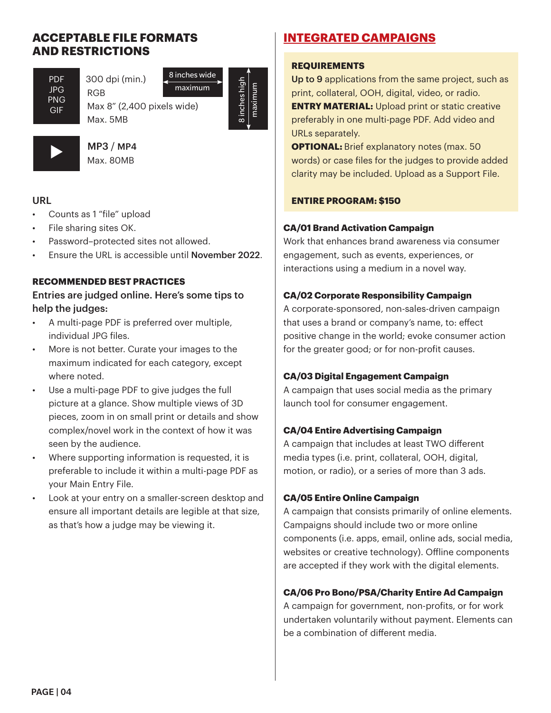## **ACCEPTABLE FILE FORMATS AND RESTRICTIONS**

PDF JPG PNG GIF

l

 300 dpi (min.) RGB Max 8" (2,400 pixels wide) 8 inches wide

8 inches high 8 inches high maximum

maximum

maximum

l  $\blacktriangleright$ 

 MP3 / MP4 Max. 80MB

Max. 5MB

## URL

- Counts as 1 "file" upload
- File sharing sites OK.
- Password–protected sites not allowed.
- Ensure the URL is accessible until November 2022.

#### **RECOMMENDED BEST PRACTICES**

Entries are judged online. Here's some tips to help the judges:

- A multi-page PDF is preferred over multiple, individual JPG files.
- More is not better. Curate your images to the maximum indicated for each category, except where noted.
- Use a multi-page PDF to give judges the full picture at a glance. Show multiple views of 3D pieces, zoom in on small print or details and show complex/novel work in the context of how it was seen by the audience.
- Where supporting information is requested, it is preferable to include it within a multi-page PDF as your Main Entry File.
- Look at your entry on a smaller-screen desktop and ensure all important details are legible at that size, as that's how a judge may be viewing it.

## **INTEGRATED CAMPAIGNS**

## **REQUIREMENTS**

Up to 9 applications from the same project, such as print, collateral, OOH, digital, video, or radio. **ENTRY MATERIAL:** Upload print or static creative preferably in one multi-page PDF. Add video and URLs separately.

**OPTIONAL:** Brief explanatory notes (max. 50 words) or case files for the judges to provide added clarity may be included. Upload as a Support File.

## **ENTIRE PROGRAM: \$150**

## **CA/01 Brand Activation Campaign**

Work that enhances brand awareness via consumer engagement, such as events, experiences, or interactions using a medium in a novel way.

## **CA/02 Corporate Responsibility Campaign**

A corporate-sponsored, non-sales-driven campaign that uses a brand or company's name, to: effect positive change in the world; evoke consumer action for the greater good; or for non-profit causes.

## **CA/03 Digital Engagement Campaign**

A campaign that uses social media as the primary launch tool for consumer engagement.

## **CA/04 Entire Advertising Campaign**

A campaign that includes at least TWO different media types (i.e. print, collateral, OOH, digital, motion, or radio), or a series of more than 3 ads.

## **CA/05 Entire Online Campaign**

A campaign that consists primarily of online elements. Campaigns should include two or more online components (i.e. apps, email, online ads, social media, websites or creative technology). Offline components are accepted if they work with the digital elements.

## **CA/06 Pro Bono/PSA/Charity Entire Ad Campaign**

A campaign for government, non-profits, or for work undertaken voluntarily without payment. Elements can be a combination of different media.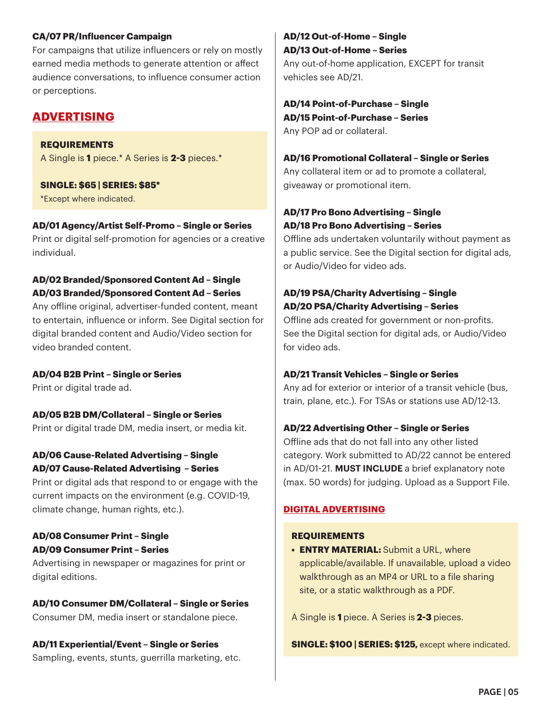#### **CA/07 PR/Influencer Campaign**

For campaigns that utilize influencers or rely on mostly earned media methods to generate attention or affect audience conversations, to influence consumer action or perceptions.

## **ADVERTISING**

#### **REQUIREMENTS** A Single is **1** piece.\* A Series is **2-3** pieces.\*

# **SINGLE: \$65 | SERIES: \$85\***

\*Except where indicated.

## **AD/01 Agency/Artist Self-Promo – Single or Series**

Print or digital self-promotion for agencies or a creative individual.

#### **AD/02 Branded/Sponsored Content Ad – Single AD/03 Branded/Sponsored Content Ad – Series**

Any offline original, advertiser-funded content, meant to entertain, influence or inform. See Digital section for digital branded content and Audio/Video section for video branded content.

## **AD/04 B2B Print – Single or Series**

Print or digital trade ad.

**AD/05 B2B DM/Collateral – Single or Series** Print or digital trade DM, media insert, or media kit.

## **AD/06 Cause-Related Advertising – Single AD/07 Cause-Related Advertising – Series**

Print or digital ads that respond to or engage with the current impacts on the environment (e.g. COVID-19, climate change, human rights, etc.).

## **AD/08 Consumer Print – Single AD/09 Consumer Print – Series**

Advertising in newspaper or magazines for print or digital editions.

## **AD/10 Consumer DM/Collateral – Single or Series**

Consumer DM, media insert or standalone piece.

## **AD/11 Experiential/Event – Single or Series**

Sampling, events, stunts, guerrilla marketing, etc.

## **AD/12 Out-of-Home – Single AD/13 Out-of-Home – Series**

Any out-of-home application, EXCEPT for transit vehicles see AD/21.

#### **AD/14 Point-of-Purchase – Single AD/15 Point-of-Purchase – Series**  Any POP ad or collateral.

## **AD/16 Promotional Collateral – Single or Series**

Any collateral item or ad to promote a collateral, giveaway or promotional item.

## **AD/17 Pro Bono Advertising – Single AD/18 Pro Bono Advertising – Series**

Offline ads undertaken voluntarily without payment as a public service. See the Digital section for digital ads, or Audio/Video for video ads.

## **AD/19 PSA/Charity Advertising – Single AD/20 PSA/Charity Advertising – Series**

Offline ads created for government or non-profits. See the Digital section for digital ads, or Audio/Video for video ads.

## **AD/21 Transit Vehicles – Single or Series**

Any ad for exterior or interior of a transit vehicle (bus, train, plane, etc.). For TSAs or stations use AD/12-13.

## **AD/22 Advertising Other – Single or Series**

Offline ads that do not fall into any other listed category. Work submitted to AD/22 cannot be entered in AD/01-21. **MUST INCLUDE** a brief explanatory note (max. 50 words) for judging. Upload as a Support File.

## **DIGITAL ADVERTISING**

## **REQUIREMENTS**

**• ENTRY MATERIAL:** Submit a URL, where applicable/available. If unavailable, upload a video walkthrough as an MP4 or URL to a file sharing site, or a static walkthrough as a PDF.

A Single is **1** piece. A Series is **2-3** pieces.

**SINGLE: \$100 | SERIES: \$125, except where indicated.**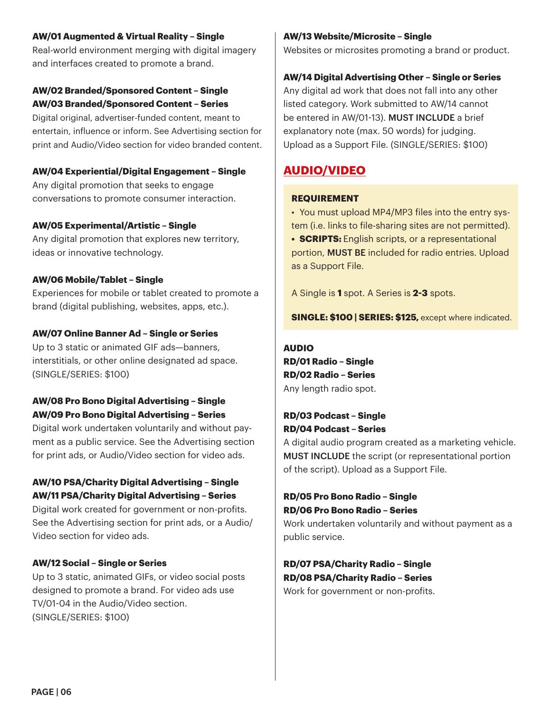#### **AW/01 Augmented & Virtual Reality – Single**

Real-world environment merging with digital imagery and interfaces created to promote a brand.

#### **AW/02 Branded/Sponsored Content – Single AW/03 Branded/Sponsored Content – Series**

Digital original, advertiser-funded content, meant to entertain, influence or inform. See Advertising section for print and Audio/Video section for video branded content.

#### **AW/04 Experiential/Digital Engagement – Single**

Any digital promotion that seeks to engage conversations to promote consumer interaction.

#### **AW/05 Experimental/Artistic – Single**

Any digital promotion that explores new territory, ideas or innovative technology.

#### **AW/06 Mobile/Tablet – Single**

Experiences for mobile or tablet created to promote a brand (digital publishing, websites, apps, etc.).

#### **AW/07 Online Banner Ad – Single or Series**

Up to 3 static or animated GIF ads—banners, interstitials, or other online designated ad space. (SINGLE/SERIES: \$100)

#### **AW/08 Pro Bono Digital Advertising – Single AW/09 Pro Bono Digital Advertising – Series**

Digital work undertaken voluntarily and without payment as a public service. See the Advertising section for print ads, or Audio/Video section for video ads.

#### **AW/10 PSA/Charity Digital Advertising – Single AW/11 PSA/Charity Digital Advertising – Series**

Digital work created for government or non-profits. See the Advertising section for print ads, or a Audio/ Video section for video ads.

#### **AW/12 Social – Single or Series**

Up to 3 static, animated GIFs, or video social posts designed to promote a brand. For video ads use TV/01-04 in the Audio/Video section. (SINGLE/SERIES: \$100)

#### **AW/13 Website/Microsite – Single**

Websites or microsites promoting a brand or product.

#### **AW/14 Digital Advertising Other – Single or Series**

Any digital ad work that does not fall into any other listed category. Work submitted to AW/14 cannot be entered in AW/01-13). MUST INCLUDE a brief explanatory note (max. 50 words) for judging. Upload as a Support File. (SINGLE/SERIES: \$100)

## **AUDIO/VIDEO**

#### **REQUIREMENT**

• You must upload MP4/MP3 files into the entry system (i.e. links to file-sharing sites are not permitted).

**• SCRIPTS:** English scripts, or a representational portion, MUST BE included for radio entries. Upload as a Support File.

A Single is **1** spot. A Series is **2-3** spots.

#### **SINGLE: \$100 | SERIES: \$125, except where indicated.**

#### **AUDIO**

**RD/01 Radio – Single RD/02 Radio – Series**  Any length radio spot.

#### **RD/03 Podcast – Single RD/04 Podcast – Series**

A digital audio program created as a marketing vehicle. MUST INCLUDE the script (or representational portion of the script). Upload as a Support File.

#### **RD/05 Pro Bono Radio – Single RD/06 Pro Bono Radio – Series**

Work undertaken voluntarily and without payment as a public service.

**RD/07 PSA/Charity Radio – Single RD/08 PSA/Charity Radio – Series**  Work for government or non-profits.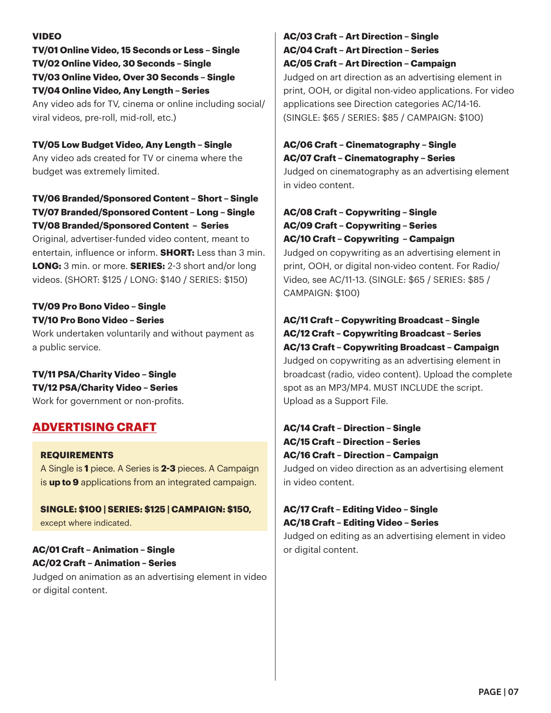#### **VIDEO**

**TV/01 Online Video, 15 Seconds or Less – Single TV/02 Online Video, 30 Seconds – Single TV/03 Online Video, Over 30 Seconds – Single TV/04 Online Video, Any Length – Series** Any video ads for TV, cinema or online including social/ viral videos, pre-roll, mid-roll, etc.)

#### **TV/05 Low Budget Video, Any Length – Single**

Any video ads created for TV or cinema where the budget was extremely limited.

## **TV/06 Branded/Sponsored Content – Short – Single TV/07 Branded/Sponsored Content – Long – Single TV/08 Branded/Sponsored Content – Series**

Original, advertiser-funded video content, meant to entertain, influence or inform. **SHORT:** Less than 3 min. **LONG:** 3 min. or more. **SERIES:** 2-3 short and/or long videos. (SHORT: \$125 / LONG: \$140 / SERIES: \$150)

#### **TV/09 Pro Bono Video – Single TV/10 Pro Bono Video – Series**

Work undertaken voluntarily and without payment as a public service.

## **TV/11 PSA/Charity Video – Single TV/12 PSA/Charity Video – Series**

Work for government or non-profits.

## **ADVERTISING CRAFT**

**REQUIREMENTS**  A Single is **1** piece. A Series is **2-3** pieces. A Campaign is **up to 9** applications from an integrated campaign.

**SINGLE: \$100 | SERIES: \$125 | CAMPAIGN: \$150,**  except where indicated.

## **AC/01 Craft – Animation – Single AC/02 Craft – Animation – Series**

Judged on animation as an advertising element in video or digital content.

#### **AC/03 Craft – Art Direction – Single AC/04 Craft – Art Direction – Series AC/05 Craft – Art Direction – Campaign**

Judged on art direction as an advertising element in print, OOH, or digital non-video applications. For video applications see Direction categories AC/14-16. (SINGLE: \$65 / SERIES: \$85 / CAMPAIGN: \$100)

#### **AC/06 Craft – Cinematography – Single AC/07 Craft – Cinematography – Series**

Judged on cinematography as an advertising element in video content.

## **AC/08 Craft – Copywriting – Single AC/09 Craft – Copywriting – Series AC/10 Craft – Copywriting – Campaign**

Judged on copywriting as an advertising element in print, OOH, or digital non-video content. For Radio/ Video, see AC/11-13. (SINGLE: \$65 / SERIES: \$85 / CAMPAIGN: \$100)

## **AC/11 Craft – Copywriting Broadcast – Single AC/12 Craft – Copywriting Broadcast – Series**

**AC/13 Craft – Copywriting Broadcast – Campaign**  Judged on copywriting as an advertising element in broadcast (radio, video content). Upload the complete spot as an MP3/MP4. MUST INCLUDE the script. Upload as a Support File.

## **AC/14 Craft – Direction – Single AC/15 Craft – Direction – Series AC/16 Craft – Direction – Campaign**

Judged on video direction as an advertising element in video content.

## **AC/17 Craft – Editing Video – Single AC/18 Craft – Editing Video – Series**

Judged on editing as an advertising element in video or digital content.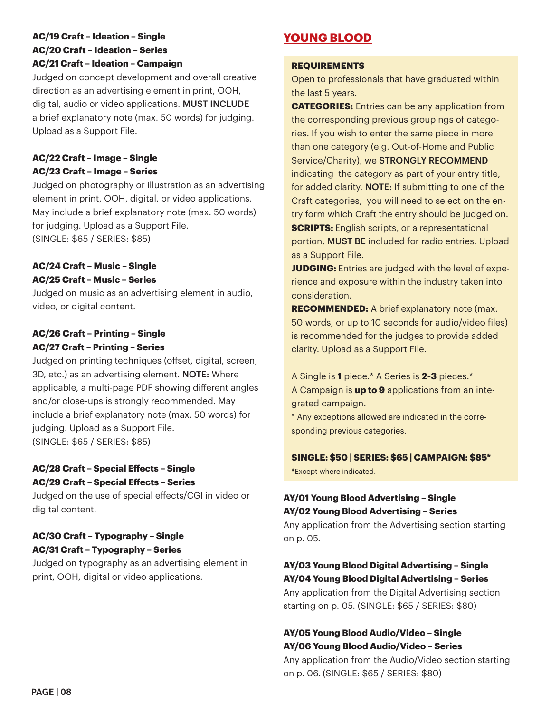#### **AC/19 Craft – Ideation – Single AC/20 Craft – Ideation – Series AC/21 Craft – Ideation – Campaign**

Judged on concept development and overall creative direction as an advertising element in print, OOH, digital, audio or video applications. MUST INCLUDE a brief explanatory note (max. 50 words) for judging. Upload as a Support File.

## **AC/22 Craft – Image – Single AC/23 Craft – Image – Series**

Judged on photography or illustration as an advertising element in print, OOH, digital, or video applications. May include a brief explanatory note (max. 50 words) for judging. Upload as a Support File. (SINGLE: \$65 / SERIES: \$85)

#### **AC/24 Craft – Music – Single AC/25 Craft – Music – Series**

Judged on music as an advertising element in audio, video, or digital content.

### **AC/26 Craft – Printing – Single AC/27 Craft – Printing – Series**

Judged on printing techniques (offset, digital, screen, 3D, etc.) as an advertising element. NOTE: Where applicable, a multi-page PDF showing different angles and/or close-ups is strongly recommended. May include a brief explanatory note (max. 50 words) for judging. Upload as a Support File. (SINGLE: \$65 / SERIES: \$85)

#### **AC/28 Craft – Special Effects – Single AC/29 Craft – Special Effects – Series**

Judged on the use of special effects/CGI in video or digital content.

## **AC/30 Craft – Typography – Single AC/31 Craft – Typography – Series**

Judged on typography as an advertising element in print, OOH, digital or video applications.

## **YOUNG BLOOD**

#### **REQUIREMENTS**

Open to professionals that have graduated within the last 5 years.

**CATEGORIES:** Entries can be any application from the corresponding previous groupings of categories. If you wish to enter the same piece in more than one category (e.g. Out-of-Home and Public Service/Charity), we STRONGLY RECOMMEND indicating the category as part of your entry title, for added clarity. **NOTE:** If submitting to one of the Craft categories, you will need to select on the entry form which Craft the entry should be judged on. **SCRIPTS:** English scripts, or a representational portion, MUST BE included for radio entries. Upload as a Support File.

**JUDGING:** Entries are judged with the level of experience and exposure within the industry taken into consideration.

**RECOMMENDED:** A brief explanatory note (max. 50 words, or up to 10 seconds for audio/video files) is recommended for the judges to provide added clarity. Upload as a Support File.

A Single is **1** piece.\* A Series is **2-3** pieces.\* A Campaign is **up to 9** applications from an integrated campaign.

\* Any exceptions allowed are indicated in the corresponding previous categories.

#### **SINGLE: \$50 | SERIES: \$65 | CAMPAIGN: \$85\***

**\***Except where indicated.

## **AY/01 Young Blood Advertising – Single AY/02 Young Blood Advertising – Series**

Any application from the Advertising section starting on p. 05.

## **AY/03 Young Blood Digital Advertising – Single AY/04 Young Blood Digital Advertising – Series**

Any application from the Digital Advertising section starting on p. 05. (SINGLE: \$65 / SERIES: \$80)

## **AY/05 Young Blood Audio/Video – Single AY/06 Young Blood Audio/Video – Series**

Any application from the Audio/Video section starting on p. 06. (SINGLE: \$65 / SERIES: \$80)